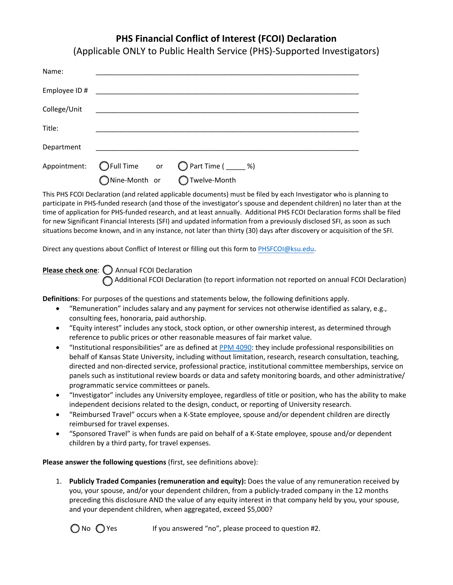## **PHS Financial Conflict of Interest (FCOI) Declaration**

(Applicable ONLY to Public Health Service (PHS)-Supported Investigators)

| Name:         |               |  |                                       |
|---------------|---------------|--|---------------------------------------|
| Employee ID # |               |  |                                       |
| College/Unit  |               |  |                                       |
| Title:        |               |  |                                       |
| Department    |               |  |                                       |
| Appointment:  |               |  | ◯ Full Time or ◯ Part Time ( _____ %) |
|               | Nine-Month or |  | ◯ Twelve-Month                        |

This PHS FCOI Declaration (and related applicable documents) must be filed by each Investigator who is planning to participate in PHS-funded research (and those of the investigator's spouse and dependent children) no later than at the time of application for PHS-funded research, and at least annually. Additional PHS FCOI Declaration forms shall be filed for new Significant Financial Interests (SFI) and updated information from a previously disclosed SFI, as soon as such situations become known, and in any instance, not later than thirty (30) days after discovery or acquisition of the SFI.

Direct any questions about Conflict of Interest or filling out this form to PH[SFCOI@ksu.edu.](mailto:PHSFCOI@ksu.edu) 

**Please check one:**  $\bigcirc$  Annual FCOI Declaration Additional FCOI Declaration (to report information not reported on annual FCOI Declaration)

**Definitions**: For purposes of the questions and statements below, the following definitions apply.

- "Remuneration" includes salary and any payment for services not otherwise identified as salary, e.g., consulting fees, honoraria, paid authorship.
- "Equity interest" includes any stock, stock option, or other ownership interest, as determined through reference to public prices or other reasonable measures of fair market value.
- "Institutional responsibilities" are as defined at [PPM 4090:](https://www.k-state.edu/policies/ppm/4000/PPM-4090.pdf) they include professional responsibilities on behalf of Kansas State University, including without limitation, research, research consultation, teaching, directed and non-directed service, professional practice, institutional committee memberships, service on panels such as institutional review boards or data and safety monitoring boards, and other administrative/ programmatic service committees or panels.
- "Investigator" includes any University employee, regardless of title or position, who has the ability to make independent decisions related to the design, conduct, or reporting of University research.
- "Reimbursed Travel" occurs when a K-State employee, spouse and/or dependent children are directly reimbursed for travel expenses.
- "Sponsored Travel" is when funds are paid on behalf of a K-State employee, spouse and/or dependent children by a third party, for travel expenses.

**Please answer the following questions** (first, see definitions above):

1. **Publicly Traded Companies (remuneration and equity):** Does the value of any remuneration received by you, your spouse, and/or your dependent children, from a publicly-traded company in the 12 months preceding this disclosure AND the value of any equity interest in that company held by you, your spouse, and your dependent children, when aggregated, exceed \$5,000?

 $\bigcirc$  No  $\bigcirc$  Yes If you answered "no", please proceed to question #2.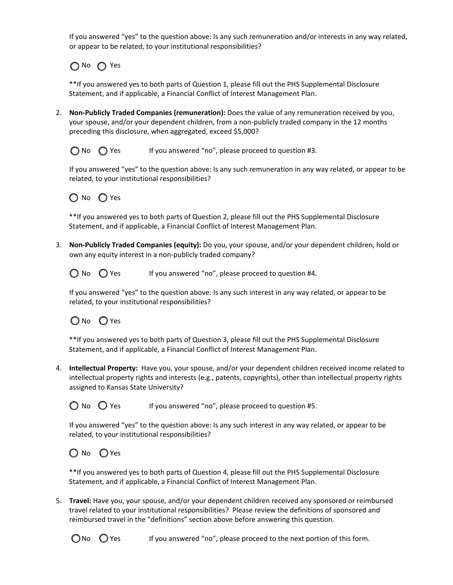If you answered "yes" to the question above: Is any such remuneration and/or interests in any way related, or appear to be related, to your institutional responsibilities?

∩No ∩ Yes

\*\*If you answered yes to both parts of Question 1, please fill out the PHS Supplemental Disclosure Statement, and if applicable, a Financial Conflict of Interest Management Plan.

- 2. **Non-Publicly Traded Companies (remuneration):** Does the value of any remuneration received by you, your spouse, and/or your dependent children, from a non-publicly traded company in the 12 months preceding this disclosure, when aggregated, exceed \$5,000?
	- $\bigcirc$  No  $\bigcirc$  Yes If you answered "no", please proceed to question #3.

If you answered "yes" to the question above: Is any such remuneration in any way related, or appear to be related, to your institutional responsibilities?



\*\*If you answered yes to both parts of Question 2, please fill out the PHS Supplemental Disclosure Statement, and if applicable, a Financial Conflict of Interest Management Plan.

3. **Non-Publicly Traded Companies (equity):** Do you, your spouse, and/or your dependent children, hold or own any equity interest in a non-publicly traded company?

 $\bigcirc$  No  $\bigcirc$  Yes If you answered "no", please proceed to question #4.

If you answered "yes" to the question above: Is any such interest in any way related, or appear to be related, to your institutional responsibilities?

## ONo OYes

\*\*If you answered yes to both parts of Question 3, please fill out the PHS Supplemental Disclosure Statement, and if applicable, a Financial Conflict of Interest Management Plan.

4. **Intellectual Property:** Have you, your spouse, and/or your dependent children received income related to intellectual property rights and interests (e.g., patents, copyrights), other than intellectual property rights assigned to Kansas State University?

 $\bigcirc$  No  $\bigcirc$  Yes If you answered "no", please proceed to question #5.

If you answered "yes" to the question above: Is any such interest in any way related, or appear to be related, to your institutional responsibilities?

O No O Yes

\*\*If you answered yes to both parts of Question 4, please fill out the PHS Supplemental Disclosure Statement, and if applicable, a Financial Conflict of Interest Management Plan.

5. **Travel:** Have you, your spouse, and/or your dependent children received any sponsored or reimbursed travel related to your institutional responsibilities? Please review the definitions of sponsored and reimbursed travel in the "definitions" section above before answering this question.

 $\bigcirc$  No  $\bigcirc$  Yes If you answered "no", please proceed to the next portion of this form.